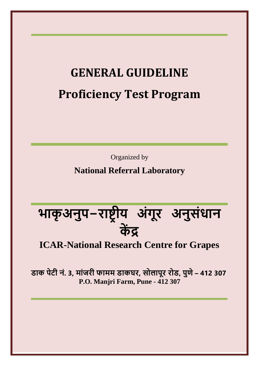# **GENERAL GUIDELINE Proficiency Test Program**

Organized by

**National Referral Laboratory**

**भाकृ अनुप-राष्ट्र ीय अंगूर अनुसंधान कें द्र**

# **ICAR-National Research Centre for Grapes**

**डाक पेटी नं. 3, मांजरी फामम डाकघर, सोलापूर रोड, पुणे– 412 307 P.O. Manjri Farm, Pune - 412 307**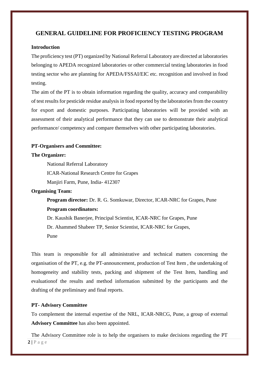## **GENERAL GUIDELINE FOR PROFICIENCY TESTING PROGRAM**

### **Introduction**

The proficiency test (PT) organized by National Referral Laboratory are directed at laboratories belonging to APEDA recognized laboratories or other commercial testing laboratories in food testing sector who are planning for APEDA/FSSAI/EIC etc. recognition and involved in food testing.

The aim of the PT is to obtain information regarding the quality, accuracy and comparability of test resultsfor pesticide residue analysis in food reported by the laboratories from the country for export and domestic purposes. Participating laboratories will be provided with an assessment of their analytical performance that they can use to demonstrate their analytical performance/ competency and compare themselves with other participating laboratories.

#### **PT-Organisers and Committee:**

#### **The Organizer:**

National Referral Laboratory

ICAR-National Research Centre for Grapes

Manjiri Farm, Pune, India- 412307

#### **Organising Team:**

**Program director:** Dr. R. G. Somkuwar, Director, ICAR-NRC for Grapes, Pune **Program coordinators:**

Dr. Kaushik Banerjee, Principal Scientist, ICAR-NRC for Grapes, Pune

Dr. Ahammed Shabeer TP, Senior Scientist, ICAR-NRC for Grapes,

Pune

This team is responsible for all administrative and technical matters concerning the organisation of the PT, e.g. the PT-announcement, production of Test Item , the undertaking of homogeneity and stability tests, packing and shipment of the Test Item, handling and evaluationof the results and method information submitted by the participants and the drafting of the preliminary and final reports.

#### **PT- Advisory Committee**

To complement the internal expertise of the NRL, ICAR-NRCG, Pune, a group of external **Advisory Committee** has also been appointed.

**2 |** P a g e The Advisory Committee role is to help the organisers to make decisions regarding the PT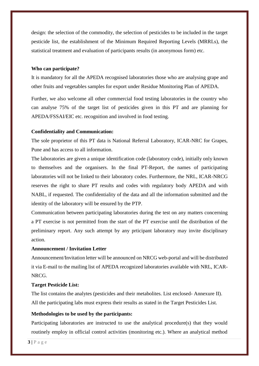design: the selection of the commodity, the selection of pesticides to be included in the target pesticide list, the establishment of the Minimum Required Reporting Levels (MRRLs), the statistical treatment and evaluation of participants results (in anonymous form) etc.

#### **Who can participate?**

It is mandatory for all the APEDA recognised laboratories those who are analysing grape and other fruits and vegetables samples for export under Residue Monitoring Plan of APEDA.

Further, we also welcome all other commercial food testing laboratories in the country who can analyse 75% of the target list of pesticides given in this PT and are planning for APEDA/FSSAI/EIC etc. recognition and involved in food testing.

#### **Confidentiality and Communication:**

The sole proprietor of this PT data is National Referral Laboratory, ICAR-NRC for Grapes, Pune and has access to all information.

The laboratories are given a unique identification code (laboratory code), initially only known to themselves and the organisers. In the final PT-Report, the names of participating laboratories will not be linked to their laboratory codes. Furthermore, the NRL, ICAR-NRCG reserves the right to share PT results and codes with regulatory body APEDA and with NABL, if requested. The confidentiality of the data and all the information submitted and the identity of the laboratory will be ensured by the PTP.

Communication between participating laboratories during the test on any matters concerning a PT exercise is not permitted from the start of the PT exercise until the distribution of the preliminary report. Any such attempt by any prticipant laboratory may invite disciplinary action.

#### **Announcement / Invitation Letter**

Announcement/Invitation letter will be announced on NRCG web-portal and will be distributed it via E-mail to the mailing list of APEDA recognized laboratories available with NRL, ICAR-NRCG.

#### **Target Pesticide List:**

The list contains the analytes (pesticides and their metabolites. List enclosed- Annexure II). All the participating labs must express their results as stated in the Target Pesticides List.

#### **Methodologies to be used by the participants:**

Participating laboratories are instructed to use the analytical procedure(s) that they would routinely employ in official control activities (monitoring etc.). Where an analytical method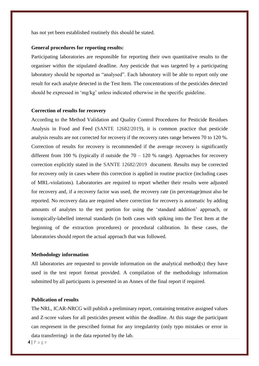has not yet been established routinely this should be stated.

#### **General procedures for reporting results:**

Participating laboratories are responsible for reporting their own quantitative results to the organiser within the stipulated deadline. Any pesticide that was targeted by a participating laboratory should be reported as "analysed". Each laboratory will be able to report only one result for each analyte detected in the Test Item. The concentrations of the pesticides detected should be expressed in 'mg/kg' unless indicated otherwise in the specific guideline.

#### **Correction of results for recovery**

According to the Method Validation and Quality Control Procedures for Pesticide Residues Analysis in Food and Feed (SANTE 12682/2019), it is common practice that pesticide analysis results are not corrected for recovery if the recovery rates range between 70 to 120 %. Correction of results for recovery is recommended if the average recovery is significantly different from 100 % (typically if outside the  $70 - 120$  % range). Approaches for recovery correction explicitly stated in the SANTE 12682/2019 document. Results may be corrected for recovery only in cases where this correction is applied in routine practice (including cases of MRL-violations). Laboratories are required to report whether their results were adjusted for recovery and, if a recovery factor was used, the recovery rate (in percentage)must also be reported. No recovery data are required where correction for recovery is automatic by adding amounts of analytes to the test portion for using the 'standard addition' approach, or isotopically-labelled internal standards (in both cases with spiking into the Test Item at the beginning of the extraction procedures) or procedural calibration. In these cases, the laboratories should report the actual approach that was followed.

#### **Methodology information**

All laboratories are requested to provide information on the analytical method(s) they have used in the test report format provided. A compilation of the methodology information submitted by all participants is presented in an Annex of the final report if required.

#### **Publication of results**

The NRL, ICAR-NRCG will publish a preliminary report, containing tentative assigned values and Z-score values for all pesticides present within the deadline. At this stage the participant can respresent in the prescribed format for any irregulatrity (only typo mistakes or error in data transferring) in the data reported by the lab.

**4 |** P a g e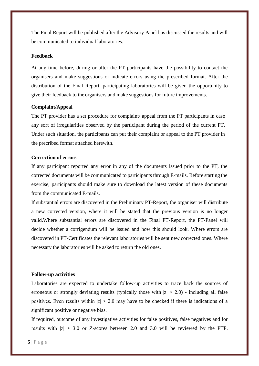The Final Report will be published after the Advisory Panel has discussed the results and will be communicated to individual laboratories.

#### **Feedback**

At any time before, during or after the PT participants have the possibility to contact the organisers and make suggestions or indicate errors using the prescribed format. After the distribution of the Final Report, participating laboratories will be given the opportunity to give their feedback to the organisers and make suggestions for future improvements.

#### **Complaint/Appeal**

The PT provider has a set procedure for complaint/ appeal from the PT participants in case any sort of irregularities observed by the participant during the period of the current PT. Under such situation, the participants can put their complaint or appeal to the PT provider in the precribed format attached herewith.

#### **Correction of errors**

If any participant reported any error in any of the documents issued prior to the PT, the corrected documents will be communicated to participants through E-mails. Before starting the exercise, participants should make sure to download the latest version of these documents from the communicated E-mails.

If substantial errors are discovered in the Preliminary PT-Report, the organiser will distribute a new corrected version, where it will be stated that the previous version is no longer valid.Where substantial errors are discovered in the Final PT-Report, the PT-Panel will decide whether a corrigendum will be issued and how this should look. Where errors are discovered in PT-Certificates the relevant laboratories will be sent new corrected ones. Where necessary the laboratories will be asked to return the old ones.

#### **Follow-up activities**

Laboratories are expected to undertake follow-up activities to trace back the sources of erroneous or strongly deviating results (typically those with  $|z| > 2.0$ ) - including all false positives. Even results within  $|z| \leq 2.0$  may have to be checked if there is indications of a significant positive or negative bias.

If required, outcome of any investigative activities for false positives, false negatives and for results with  $|z| \geq 3.0$  or Z-scores between 2.0 and 3.0 will be reviewed by the PTP.